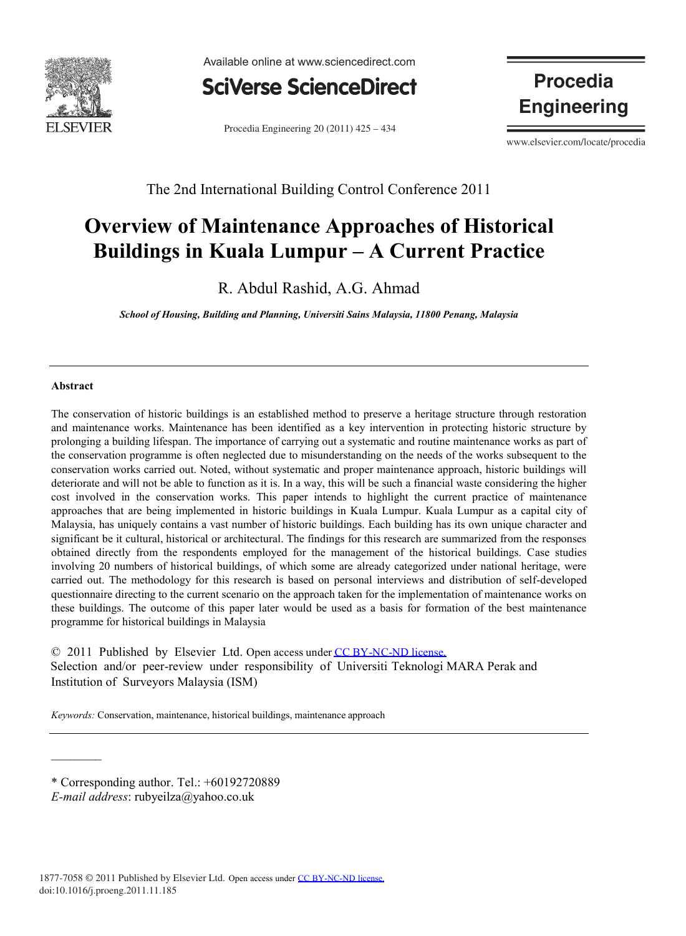

Available online at www.sciencedirect.com



Procedia Engineering  $20(2011)$   $425 - 434$ 

**Procedia Engineering** 

www.elsevier.com/locate/procedia

### The 2nd International Building Control Conference 2011

# **Overview of Maintenance Approaches of Historical Buildings in Kuala Lumpur – A Current Practice**

R. Abdul Rashid, A.G. Ahmad

*School of Housing, Building and Planning, Universiti Sains Malaysia, 11800 Penang, Malaysia*

#### **Abstract**

 $\mathcal{L}$ 

The conservation of historic buildings is an established method to preserve a heritage structure through restoration and maintenance works. Maintenance has been identified as a key intervention in protecting historic structure by prolonging a building lifespan. The importance of carrying out a systematic and routine maintenance works as part of the conservation programme is often neglected due to misunderstanding on the needs of the works subsequent to the conservation works carried out. Noted, without systematic and proper maintenance approach, historic buildings will deteriorate and will not be able to function as it is. In a way, this will be such a financial waste considering the higher cost involved in the conservation works. This paper intends to highlight the current practice of maintenance approaches that are being implemented in historic buildings in Kuala Lumpur. Kuala Lumpur as a capital city of Malaysia, has uniquely contains a vast number of historic buildings. Each building has its own unique character and significant be it cultural, historical or architectural. The findings for this research are summarized from the responses obtained directly from the respondents employed for the management of the historical buildings. Case studies involving 20 numbers of historical buildings, of which some are already categorized under national heritage, were carried out. The methodology for this research is based on personal interviews and distribution of self-developed questionnaire directing to the current scenario on the approach taken for the implementation of maintenance works on these buildings. The outcome of this paper later would be used as a basis for formation of the best maintenance programme for historical buildings in Malaysia

© 2011 Published by Elsevier Ltd. Open access under [CC BY-NC-ND license.](http://creativecommons.org/licenses/by-nc-nd/3.0/)Selection and/or peer-review under responsibility of Universiti Teknologi MARA Perak and Institution of Surveyors Malaysia (ISM)

*Keywords:* Conservation, maintenance, historical buildings, maintenance approach

\* Corresponding author. Tel.: +60192720889

*E-mail address*: rubyeilza@yahoo.co.uk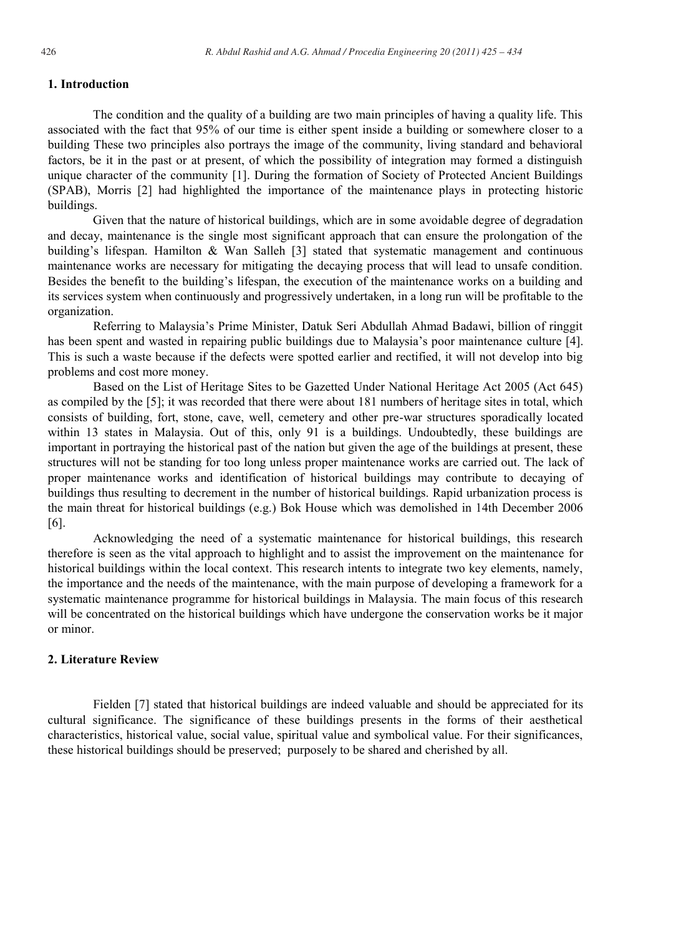#### **1. Introduction**

The condition and the quality of a building are two main principles of having a quality life. This associated with the fact that 95% of our time is either spent inside a building or somewhere closer to a building These two principles also portrays the image of the community, living standard and behavioral factors, be it in the past or at present, of which the possibility of integration may formed a distinguish unique character of the community [1]. During the formation of Society of Protected Ancient Buildings (SPAB), Morris [2] had highlighted the importance of the maintenance plays in protecting historic buildings.

Given that the nature of historical buildings, which are in some avoidable degree of degradation and decay, maintenance is the single most significant approach that can ensure the prolongation of the building's lifespan. Hamilton & Wan Salleh [3] stated that systematic management and continuous maintenance works are necessary for mitigating the decaying process that will lead to unsafe condition. Besides the benefit to the building's lifespan, the execution of the maintenance works on a building and its services system when continuously and progressively undertaken, in a long run will be profitable to the organization.

Referring to Malaysia's Prime Minister, Datuk Seri Abdullah Ahmad Badawi, billion of ringgit has been spent and wasted in repairing public buildings due to Malaysia's poor maintenance culture [4]. This is such a waste because if the defects were spotted earlier and rectified, it will not develop into big problems and cost more money.

Based on the List of Heritage Sites to be Gazetted Under National Heritage Act 2005 (Act 645) as compiled by the [5]; it was recorded that there were about 181 numbers of heritage sites in total, which consists of building, fort, stone, cave, well, cemetery and other pre-war structures sporadically located within 13 states in Malaysia. Out of this, only 91 is a buildings. Undoubtedly, these buildings are important in portraying the historical past of the nation but given the age of the buildings at present, these structures will not be standing for too long unless proper maintenance works are carried out. The lack of proper maintenance works and identification of historical buildings may contribute to decaying of buildings thus resulting to decrement in the number of historical buildings. Rapid urbanization process is the main threat for historical buildings (e.g.) Bok House which was demolished in 14th December 2006 [6].

Acknowledging the need of a systematic maintenance for historical buildings, this research therefore is seen as the vital approach to highlight and to assist the improvement on the maintenance for historical buildings within the local context. This research intents to integrate two key elements, namely, the importance and the needs of the maintenance, with the main purpose of developing a framework for a systematic maintenance programme for historical buildings in Malaysia. The main focus of this research will be concentrated on the historical buildings which have undergone the conservation works be it major or minor.

### **2. Literature Review**

Fielden [7] stated that historical buildings are indeed valuable and should be appreciated for its cultural significance. The significance of these buildings presents in the forms of their aesthetical characteristics, historical value, social value, spiritual value and symbolical value. For their significances, these historical buildings should be preserved; purposely to be shared and cherished by all.